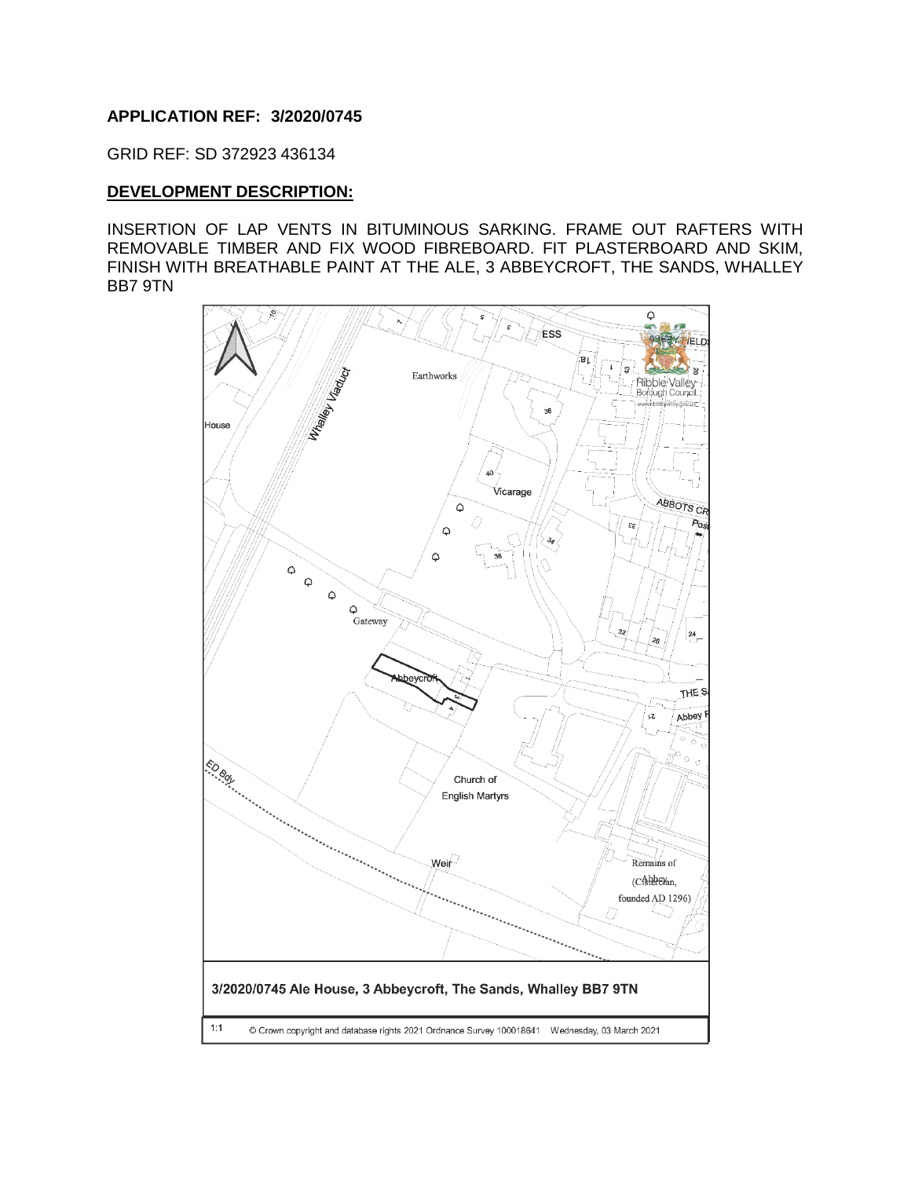## **APPLICATION REF: 3/2020/0745**

GRID REF: SD 372923 436134

#### **DEVELOPMENT DESCRIPTION:**

INSERTION OF LAP VENTS IN BITUMINOUS SARKING. FRAME OUT RAFTERS WITH REMOVABLE TIMBER AND FIX WOOD FIBREBOARD. FIT PLASTERBOARD AND SKIM, FINISH WITH BREATHABLE PAINT AT THE ALE, 3 ABBEYCROFT, THE SANDS, WHALLEY BB7 9TN

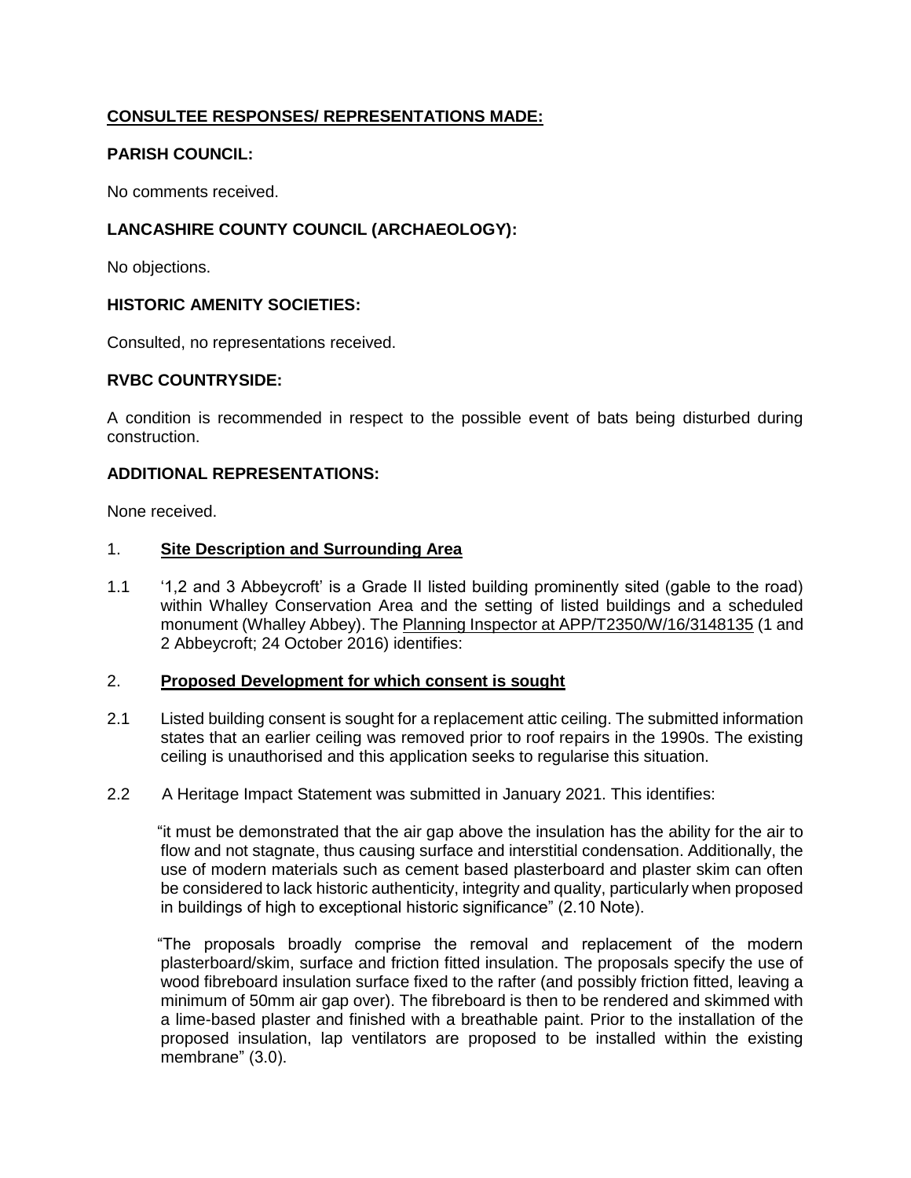# **CONSULTEE RESPONSES/ REPRESENTATIONS MADE:**

## **PARISH COUNCIL:**

No comments received.

## **LANCASHIRE COUNTY COUNCIL (ARCHAEOLOGY):**

No objections.

## **HISTORIC AMENITY SOCIETIES:**

Consulted, no representations received.

## **RVBC COUNTRYSIDE:**

A condition is recommended in respect to the possible event of bats being disturbed during construction.

## **ADDITIONAL REPRESENTATIONS:**

None received.

#### 1. **Site Description and Surrounding Area**

1.1 '1,2 and 3 Abbeycroft' is a Grade II listed building prominently sited (gable to the road) within Whalley Conservation Area and the setting of listed buildings and a scheduled monument (Whalley Abbey). The Planning Inspector at APP/T2350/W/16/3148135 (1 and 2 Abbeycroft; 24 October 2016) identifies:

#### 2. **Proposed Development for which consent is sought**

2.1 Listed building consent is sought for a replacement attic ceiling. The submitted information states that an earlier ceiling was removed prior to roof repairs in the 1990s. The existing ceiling is unauthorised and this application seeks to regularise this situation.

## 2.2 A Heritage Impact Statement was submitted in January 2021. This identifies:

 "it must be demonstrated that the air gap above the insulation has the ability for the air to flow and not stagnate, thus causing surface and interstitial condensation. Additionally, the use of modern materials such as cement based plasterboard and plaster skim can often be considered to lack historic authenticity, integrity and quality, particularly when proposed in buildings of high to exceptional historic significance" (2.10 Note).

 "The proposals broadly comprise the removal and replacement of the modern plasterboard/skim, surface and friction fitted insulation. The proposals specify the use of wood fibreboard insulation surface fixed to the rafter (and possibly friction fitted, leaving a minimum of 50mm air gap over). The fibreboard is then to be rendered and skimmed with a lime-based plaster and finished with a breathable paint. Prior to the installation of the proposed insulation, lap ventilators are proposed to be installed within the existing membrane" (3.0).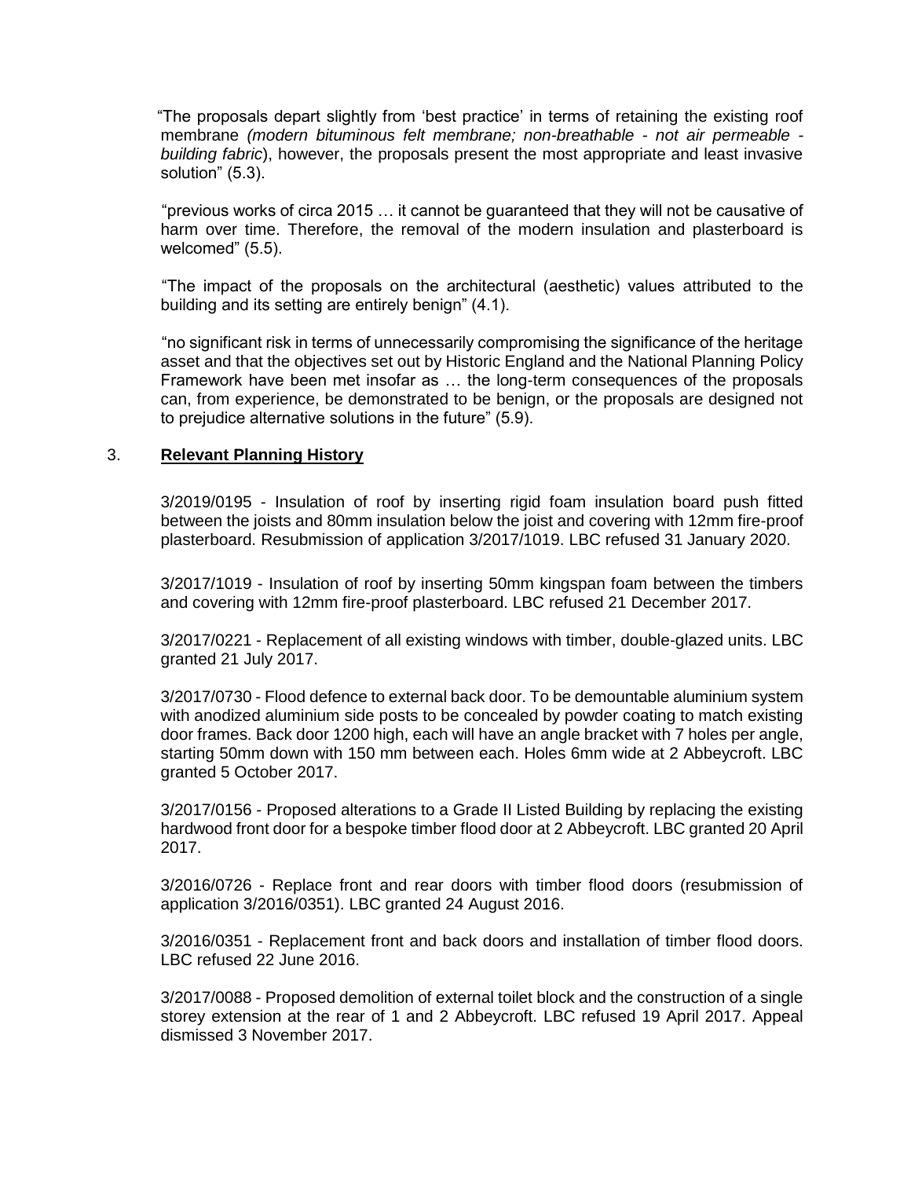"The proposals depart slightly from 'best practice' in terms of retaining the existing roof membrane *(modern bituminous felt membrane; non-breathable - not air permeable building fabric*), however, the proposals present the most appropriate and least invasive solution" (5.3).

 "previous works of circa 2015 … it cannot be guaranteed that they will not be causative of harm over time. Therefore, the removal of the modern insulation and plasterboard is welcomed" (5.5).

 "The impact of the proposals on the architectural (aesthetic) values attributed to the building and its setting are entirely benign" (4.1).

 "no significant risk in terms of unnecessarily compromising the significance of the heritage asset and that the objectives set out by Historic England and the National Planning Policy Framework have been met insofar as … the long-term consequences of the proposals can, from experience, be demonstrated to be benign, or the proposals are designed not to prejudice alternative solutions in the future" (5.9).

#### 3. **Relevant Planning History**

3/2019/0195 - Insulation of roof by inserting rigid foam insulation board push fitted between the joists and 80mm insulation below the joist and covering with 12mm fire-proof plasterboard. Resubmission of application 3/2017/1019. LBC refused 31 January 2020.

3/2017/1019 - Insulation of roof by inserting 50mm kingspan foam between the timbers and covering with 12mm fire-proof plasterboard. LBC refused 21 December 2017.

3/2017/0221 - Replacement of all existing windows with timber, double-glazed units. LBC granted 21 July 2017.

3/2017/0730 - Flood defence to external back door. To be demountable aluminium system with anodized aluminium side posts to be concealed by powder coating to match existing door frames. Back door 1200 high, each will have an angle bracket with 7 holes per angle, starting 50mm down with 150 mm between each. Holes 6mm wide at 2 Abbeycroft. LBC granted 5 October 2017.

3/2017/0156 - Proposed alterations to a Grade II Listed Building by replacing the existing hardwood front door for a bespoke timber flood door at 2 Abbeycroft. LBC granted 20 April 2017.

3/2016/0726 - Replace front and rear doors with timber flood doors (resubmission of application 3/2016/0351). LBC granted 24 August 2016.

3/2016/0351 - Replacement front and back doors and installation of timber flood doors. LBC refused 22 June 2016.

3/2017/0088 - Proposed demolition of external toilet block and the construction of a single storey extension at the rear of 1 and 2 Abbeycroft. LBC refused 19 April 2017. Appeal dismissed 3 November 2017.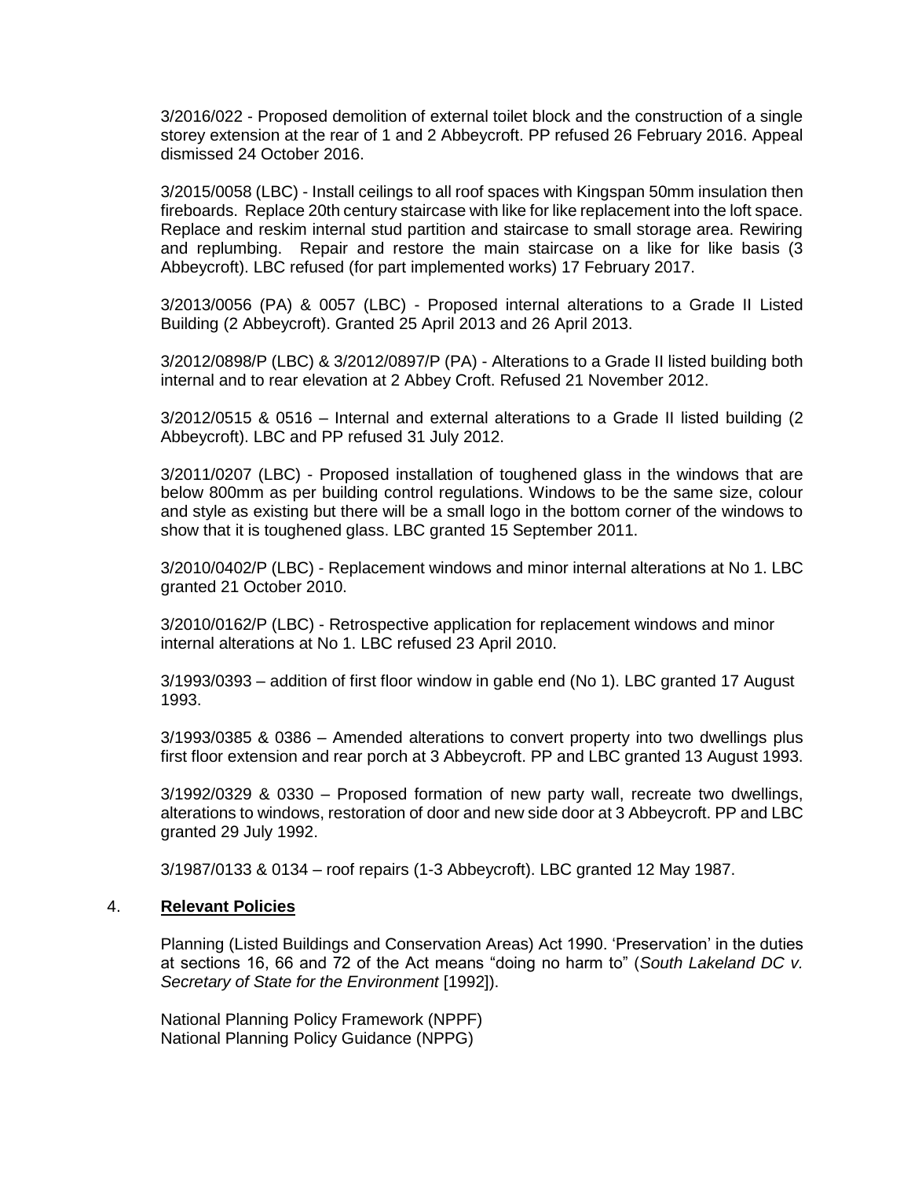3/2016/022 - Proposed demolition of external toilet block and the construction of a single storey extension at the rear of 1 and 2 Abbeycroft. PP refused 26 February 2016. Appeal dismissed 24 October 2016.

3/2015/0058 (LBC) - Install ceilings to all roof spaces with Kingspan 50mm insulation then fireboards. Replace 20th century staircase with like for like replacement into the loft space. Replace and reskim internal stud partition and staircase to small storage area. Rewiring and replumbing. Repair and restore the main staircase on a like for like basis (3 Abbeycroft). LBC refused (for part implemented works) 17 February 2017.

3/2013/0056 (PA) & 0057 (LBC) - Proposed internal alterations to a Grade II Listed Building (2 Abbeycroft). Granted 25 April 2013 and 26 April 2013.

3/2012/0898/P (LBC) & 3/2012/0897/P (PA) - Alterations to a Grade II listed building both internal and to rear elevation at 2 Abbey Croft. Refused 21 November 2012.

3/2012/0515 & 0516 – Internal and external alterations to a Grade II listed building (2 Abbeycroft). LBC and PP refused 31 July 2012.

3/2011/0207 (LBC) - Proposed installation of toughened glass in the windows that are below 800mm as per building control regulations. Windows to be the same size, colour and style as existing but there will be a small logo in the bottom corner of the windows to show that it is toughened glass. LBC granted 15 September 2011.

3/2010/0402/P (LBC) - Replacement windows and minor internal alterations at No 1. LBC granted 21 October 2010.

3/2010/0162/P (LBC) - Retrospective application for replacement windows and minor internal alterations at No 1. LBC refused 23 April 2010.

3/1993/0393 – addition of first floor window in gable end (No 1). LBC granted 17 August 1993.

3/1993/0385 & 0386 – Amended alterations to convert property into two dwellings plus first floor extension and rear porch at 3 Abbeycroft. PP and LBC granted 13 August 1993.

3/1992/0329 & 0330 – Proposed formation of new party wall, recreate two dwellings, alterations to windows, restoration of door and new side door at 3 Abbeycroft. PP and LBC granted 29 July 1992.

3/1987/0133 & 0134 – roof repairs (1-3 Abbeycroft). LBC granted 12 May 1987.

#### 4. **Relevant Policies**

Planning (Listed Buildings and Conservation Areas) Act 1990. 'Preservation' in the duties at sections 16, 66 and 72 of the Act means "doing no harm to" (*South Lakeland DC v. Secretary of State for the Environment* [1992]).

National Planning Policy Framework (NPPF) National Planning Policy Guidance (NPPG)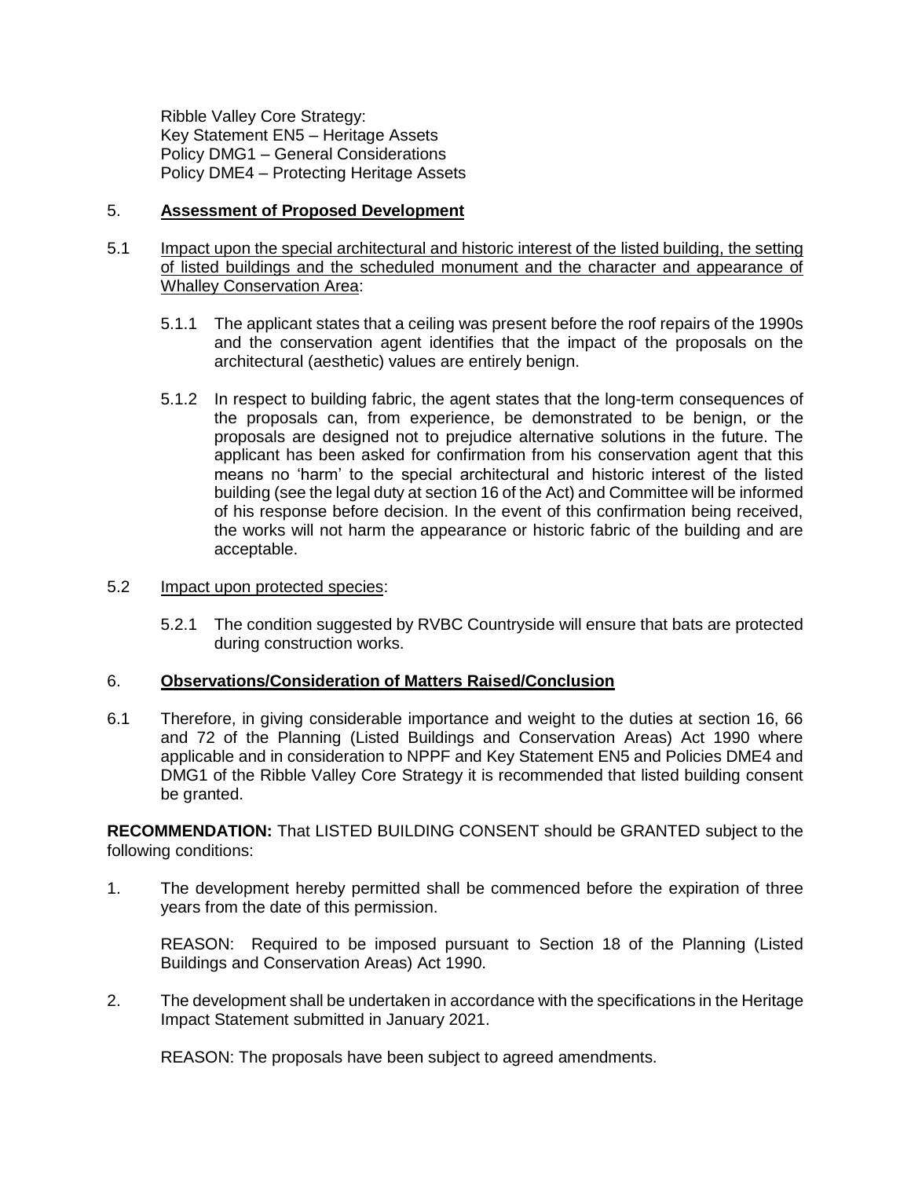Ribble Valley Core Strategy: Key Statement EN5 – Heritage Assets Policy DMG1 – General Considerations Policy DME4 – Protecting Heritage Assets

## 5. **Assessment of Proposed Development**

- 5.1 Impact upon the special architectural and historic interest of the listed building, the setting of listed buildings and the scheduled monument and the character and appearance of Whalley Conservation Area:
	- 5.1.1 The applicant states that a ceiling was present before the roof repairs of the 1990s and the conservation agent identifies that the impact of the proposals on the architectural (aesthetic) values are entirely benign.
	- 5.1.2 In respect to building fabric, the agent states that the long-term consequences of the proposals can, from experience, be demonstrated to be benign, or the proposals are designed not to prejudice alternative solutions in the future. The applicant has been asked for confirmation from his conservation agent that this means no 'harm' to the special architectural and historic interest of the listed building (see the legal duty at section 16 of the Act) and Committee will be informed of his response before decision. In the event of this confirmation being received, the works will not harm the appearance or historic fabric of the building and are acceptable.

#### 5.2 Impact upon protected species:

5.2.1 The condition suggested by RVBC Countryside will ensure that bats are protected during construction works.

## 6. **Observations/Consideration of Matters Raised/Conclusion**

6.1 Therefore, in giving considerable importance and weight to the duties at section 16, 66 and 72 of the Planning (Listed Buildings and Conservation Areas) Act 1990 where applicable and in consideration to NPPF and Key Statement EN5 and Policies DME4 and DMG1 of the Ribble Valley Core Strategy it is recommended that listed building consent be granted.

**RECOMMENDATION:** That LISTED BUILDING CONSENT should be GRANTED subject to the following conditions:

1. The development hereby permitted shall be commenced before the expiration of three years from the date of this permission.

REASON: Required to be imposed pursuant to Section 18 of the Planning (Listed Buildings and Conservation Areas) Act 1990.

2. The development shall be undertaken in accordance with the specifications in the Heritage Impact Statement submitted in January 2021.

REASON: The proposals have been subject to agreed amendments.